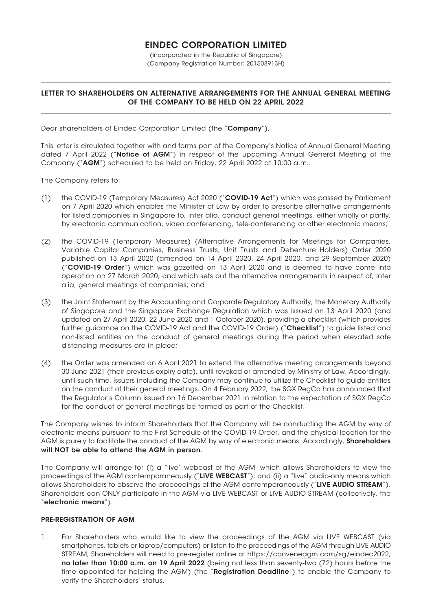# EINDEC CORPORATION LIMITED

(Incorporated in the Republic of Singapore) (Company Registration Number: 201508913H)

## LETTER TO SHAREHOLDERS ON ALTERNATIVE ARRANGEMENTS FOR THE ANNUAL GENERAL MEETING OF THE COMPANY TO BE HELD ON 22 APRIL 2022

Dear shareholders of Eindec Corporation Limited (the "Company"),

This letter is circulated together with and forms part of the Company's Notice of Annual General Meeting dated 7 April 2022 ("Notice of AGM") in respect of the upcoming Annual General Meeting of the Company ("AGM") scheduled to be held on Friday, 22 April 2022 at 10:00 a.m..

The Company refers to:

- (1) the COVID-19 (Temporary Measures) Act 2020 ("COVID-19 Act") which was passed by Parliament on 7 April 2020 which enables the Minister of Law by order to prescribe alternative arrangements for listed companies in Singapore to, inter alia, conduct general meetings, either wholly or partly, by electronic communication, video conferencing, tele-conferencing or other electronic means;
- (2) the COVID-19 (Temporary Measures) (Alternative Arrangements for Meetings for Companies, Variable Capital Companies, Business Trusts, Unit Trusts and Debenture Holders) Order 2020 published on 13 April 2020 (amended on 14 April 2020, 24 April 2020, and 29 September 2020) ("COVID-19 Order") which was gazetted on 13 April 2020 and is deemed to have come into operation on 27 March 2020, and which sets out the alternative arrangements in respect of, inter alia, general meetings of companies; and
- (3) the Joint Statement by the Accounting and Corporate Regulatory Authority, the Monetary Authority of Singapore and the Singapore Exchange Regulation which was issued on 13 April 2020 (and updated on 27 April 2020, 22 June 2020 and 1 October 2020), providing a checklist (which provides further guidance on the COVID-19 Act and the COVID-19 Order) ("Checklist") to guide listed and non-listed entities on the conduct of general meetings during the period when elevated safe distancing measures are in place;
- (4) the Order was amended on 6 April 2021 to extend the alternative meeting arrangements beyond 30 June 2021 (their previous expiry date), until revoked or amended by Ministry of Law. Accordingly, until such time, issuers including the Company may continue to utilize the Checklist to guide entities on the conduct of their general meetings. On 4 February 2022, the SGX RegCo has announced that the Regulator's Column issued on 16 December 2021 in relation to the expectation of SGX RegCo for the conduct of general meetings be formed as part of the Checklist.

The Company wishes to inform Shareholders that the Company will be conducting the AGM by way of electronic means pursuant to the First Schedule of the COVID-19 Order, and the physical location for the AGM is purely to facilitate the conduct of the AGM by way of electronic means. Accordingly, **Shareholders** will NOT be able to attend the AGM in person.

The Company will arrange for (i) a "live" webcast of the AGM, which allows Shareholders to view the proceedings of the AGM contemporaneously ("LIVE WEBCAST"); and (ii) a "live" audio-only means which allows Shareholders to observe the proceedings of the AGM contemporaneously ("LIVE AUDIO STREAM"). Shareholders can ONLY participate in the AGM via LIVE WEBCAST or LIVE AUDIO STREAM (collectively, the "electronic means").

### PRE-REGISTRATION OF AGM

1. For Shareholders who would like to view the proceedings of the AGM via LIVE WEBCAST (via smartphones, tablets or laptop/computers) or listen to the proceedings of the AGM through LIVE AUDIO STREAM, Shareholders will need to pre-register online at https://conveneagm.com/sg/eindec2022, no later than 10:00 a.m. on 19 April 2022 (being not less than seventy-two (72) hours before the time appointed for holding the AGM) (the "Registration Deadline") to enable the Company to verify the Shareholders' status.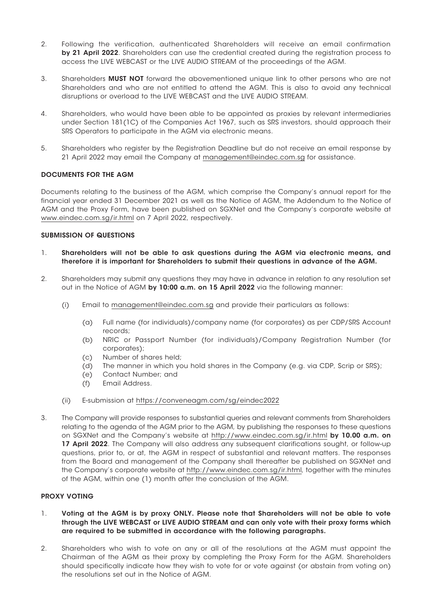- 2. Following the verification, authenticated Shareholders will receive an email confirmation by 21 April 2022. Shareholders can use the credential created durina the reaistration process to access the LIVE WEBCAST or the LIVE AUDIO STREAM of the proceedings of the AGM.
- 3. Shareholders MUST NOT forward the abovementioned unique link to other persons who are not Shareholders and who are not entitled to attend the AGM. This is also to avoid any technical disruptions or overload to the LIVE WEBCAST and the LIVE AUDIO STREAM.
- 4. Shareholders, who would have been able to be appointed as proxies by relevant intermediaries under Section 181(1C) of the Companies Act 1967, such as SRS investors, should approach their SRS Operators to participate in the AGM via electronic means.
- 5. Shareholders who register by the Registration Deadline but do not receive an email response by 21 April 2022 may email the Company at management@eindec.com.sg for assistance.

## DOCUMENTS FOR THE AGM

Documents relating to the business of the AGM, which comprise the Company's annual report for the financial year ended 31 December 2021 as well as the Notice of AGM, the Addendum to the Notice of AGM and the Proxy Form, have been published on SGXNet and the Company's corporate website at www.eindec.com.sg/ir.html on 7 April 2022, respectively.

## SUBMISSION OF QUESTIONS

- 1. Shareholders will not be able to ask questions during the AGM via electronic means, and therefore it is important for Shareholders to submit their questions in advance of the AGM.
- 2. Shareholders may submit any questions they may have in advance in relation to any resolution set out in the Notice of AGM by 10:00 a.m. on 15 April 2022 via the following manner:
	- (i) Email to management@eindec.com.sg and provide their particulars as follows:
		- (a) Full name (for individuals)/company name (for corporates) as per CDP/SRS Account records;
		- (b) NRIC or Passport Number (for individuals)/Company Registration Number (for corporates);
		- (c) Number of shares held;
		- (d) The manner in which you hold shares in the Company (e.g. via CDP, Scrip or SRS);
		- (e) Contact Number; and
		- (f) Email Address.
	- (ii) E-submission at https://conveneagm.com/sg/eindec2022
- 3. The Company will provide responses to substantial queries and relevant comments from Shareholders relating to the agenda of the AGM prior to the AGM, by publishing the responses to these questions on SGXNet and the Company's website at http://www.eindec.com.sg/ir.html by 10.00 a.m. on 17 April 2022. The Company will also address any subsequent clarifications sought, or follow-up questions, prior to, or at, the AGM in respect of substantial and relevant matters. The responses from the Board and management of the Company shall thereafter be published on SGXNet and the Company's corporate website at http://www.eindec.com.sg/ir.html, together with the minutes of the AGM, within one (1) month after the conclusion of the AGM.

## PROXY VOTING

- 1. Voting at the AGM is by proxy ONLY. Please note that Shareholders will not be able to vote through the LIVE WEBCAST or LIVE AUDIO STREAM and can only vote with their proxy forms which are required to be submitted in accordance with the following paragraphs.
- 2. Shareholders who wish to vote on any or all of the resolutions at the AGM must appoint the Chairman of the AGM as their proxy by completing the Proxy Form for the AGM. Shareholders should specifically indicate how they wish to vote for or vote against (or abstain from voting on) the resolutions set out in the Notice of AGM.